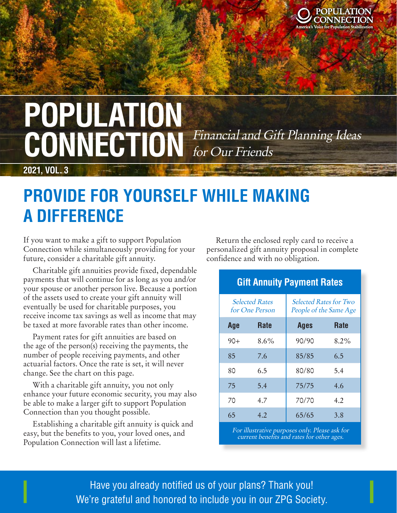

Locked

# **POPULATION**<br>CONNITOTION Financial and Gift Planning Ideas CONNECTION Financial and Gift Planning Ideas for Our Friends

**2021, VOL. 3**

### **PROVIDE FOR YOURSELF WHILE MAKING A DIFFERENCE**

If you want to make a gift to support Population Connection while simultaneously providing for your future, consider a charitable gift annuity.

Charitable gift annuities provide fixed, dependable payments that will continue for as long as you and/or your spouse or another person live. Because a portion of the assets used to create your gift annuity will eventually be used for charitable purposes, you receive income tax savings as well as income that may be taxed at more favorable rates than other income.

Payment rates for gift annuities are based on the age of the person(s) receiving the payments, the number of people receiving payments, and other actuarial factors. Once the rate is set, it will never change. See the chart on this page.

With a charitable gift annuity, you not only enhance your future economic security, you may also be able to make a larger gift to support Population Connection than you thought possible.

Establishing a charitable gift annuity is quick and easy, but the benefits to you, your loved ones, and Population Connection will last a lifetime.

Return the enclosed reply card to receive a personalized gift annuity proposal in complete confidence and with no obligation.

| <b>Gift Annuity Payment Rates</b>             |             |                                                         |             |
|-----------------------------------------------|-------------|---------------------------------------------------------|-------------|
| <b>Selected Rates</b><br>for One Person       |             | <b>Selected Rates for Two</b><br>People of the Same Age |             |
| Age                                           | <b>Rate</b> | <b>Ages</b>                                             | <b>Rate</b> |
| $90+$                                         | $8.6\%$     | 90/90                                                   | 8.2%        |
| 85                                            | 7.6         | 85/85                                                   | 6.5         |
| 80                                            | 6.5         | 80/80                                                   | 5.4         |
| 75                                            | 5.4         | 75/75                                                   | 4.6         |
| 70                                            | 4.7         | 70/70                                                   | 4.2         |
| 65                                            | 4.2         | 65/65                                                   | 3.8         |
| Equilly etering numerous only please soly for |             |                                                         |             |

For illustrative purposes only. Please ask for current benefits and rates for other ages.

 $\blacksquare$ Ercilique voloris sam dolorum verum ilibus, voloris sam dolorum verum ilibus, v  $\blacksquare$  Have you already notified us of your plans? Thank you!  $\blacksquare$  We're grateful and honored to include you in our ZPG Society.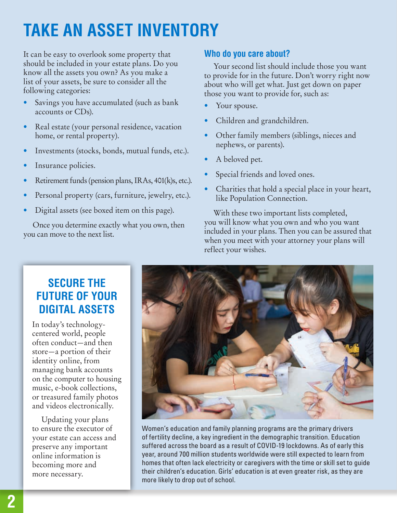# **TAKE AN ASSET INVENTORY**

It can be easy to overlook some property that should be included in your estate plans. Do you know all the assets you own? As you make a list of your assets, be sure to consider all the following categories:

- Savings you have accumulated (such as bank accounts or CDs).
- Real estate (your personal residence, vacation home, or rental property).
- Investments (stocks, bonds, mutual funds, etc.).
- Insurance policies.
- Retirement funds (pension plans, IRAs, 401(k)s, etc.).
- Personal property (cars, furniture, jewelry, etc.).
- Digital assets (see boxed item on this page).

Once you determine exactly what you own, then you can move to the next list.

#### **Who do you care about?**

Your second list should include those you want to provide for in the future. Don't worry right now about who will get what. Just get down on paper those you want to provide for, such as:

- Your spouse.
- Children and grandchildren.
- Other family members (siblings, nieces and nephews, or parents).
- A beloved pet.
- Special friends and loved ones.
- Charities that hold a special place in your heart, like Population Connection.

With these two important lists completed, you will know what you own and who you want included in your plans. Then you can be assured that when you meet with your attorney your plans will reflect your wishes.

### **SECURE THE FUTURE OF YOUR DIGITAL ASSETS**

In today's technologycentered world, people often conduct—and then store—a portion of their identity online, from managing bank accounts on the computer to housing music, e-book collections, or treasured family photos and videos electronically.

Updating your plans to ensure the executor of your estate can access and preserve any important online information is becoming more and more necessary.



Women's education and family planning programs are the primary drivers of fertility decline, a key ingredient in the demographic transition. Education suffered across the board as a result of COVID-19 lockdowns. As of early this year, around 700 million students worldwide were still expected to learn from homes that often lack electricity or caregivers with the time or skill set to guide their children's education. Girls' education is at even greater risk, as they are more likely to drop out of school.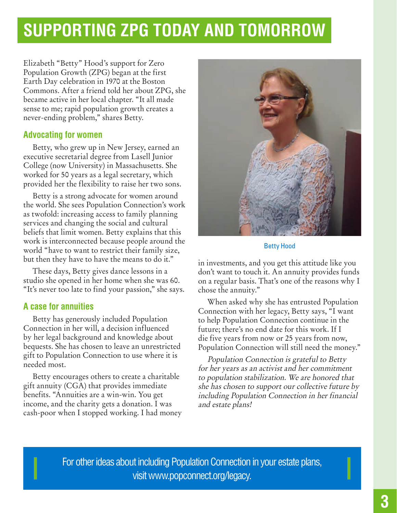## **SUPPORTING ZPG TODAY AND TOMORROW**

Elizabeth "Betty" Hood's support for Zero Population Growth (ZPG) began at the first Earth Day celebration in 1970 at the Boston Commons. After a friend told her about ZPG, she became active in her local chapter. "It all made sense to me; rapid population growth creates a never-ending problem," shares Betty.

#### **Advocating for women**

Betty, who grew up in New Jersey, earned an executive secretarial degree from Lasell Junior College (now University) in Massachusetts. She worked for 50 years as a legal secretary, which provided her the flexibility to raise her two sons.

Betty is a strong advocate for women around the world. She sees Population Connection's work as twofold: increasing access to family planning services and changing the social and cultural beliefs that limit women. Betty explains that this work is interconnected because people around the world "have to want to restrict their family size, but then they have to have the means to do it."

These days, Betty gives dance lessons in a studio she opened in her home when she was 60. "It's never too late to find your passion," she says.

#### **A case for annuities**

Betty has generously included Population Connection in her will, a decision influenced by her legal background and knowledge about bequests. She has chosen to leave an unrestricted gift to Population Connection to use where it is needed most.

Betty encourages others to create a charitable gift annuity (CGA) that provides immediate benefits. "Annuities are a win-win. You get income, and the charity gets a donation. I was cash-poor when I stopped working. I had money



Betty Hood

in investments, and you get this attitude like you don't want to touch it. An annuity provides funds on a regular basis. That's one of the reasons why I chose the annuity."

When asked why she has entrusted Population Connection with her legacy, Betty says, "I want to help Population Connection continue in the future; there's no end date for this work. If I die five years from now or 25 years from now, Population Connection will still need the money."

Population Connection is grateful to Betty for her years as an activist and her commitment to population stabilization. We are honored that she has chosen to support our collective future by including Population Connection in her financial and estate plans!

For other ideas about including Population Connection in your estate plans, visit www.popconnect.org/legacy.